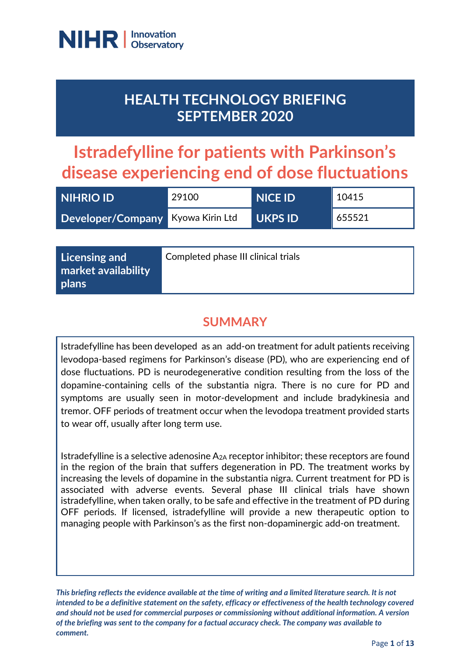

# **HEALTH TECHNOLOGY BRIEFING SEPTEMBER 2020**

# **Istradefylline for patients with Parkinson's disease experiencing end of dose fluctuations**

| <b>NIHRIO ID</b>                  | 29100 | NICE ID'       | 10415  |
|-----------------------------------|-------|----------------|--------|
| Developer/Company Kyowa Kirin Ltd |       | <b>UKPS ID</b> | 655521 |

| Licensing and<br>market availability | Completed phase III clinical trials |
|--------------------------------------|-------------------------------------|
| plans                                |                                     |

### **SUMMARY**

Istradefylline has been developed as an add-on treatment for adult patients receiving levodopa-based regimens for Parkinson's disease (PD), who are experiencing end of dose fluctuations. PD is neurodegenerative condition resulting from the loss of the dopamine-containing cells of the substantia nigra. There is no cure for PD and symptoms are usually seen in motor-development and include bradykinesia and tremor. OFF periods of treatment occur when the levodopa treatment provided starts to wear off, usually after long term use.

Istradefylline is a selective adenosine  $A_{2A}$  receptor inhibitor; these receptors are found in the region of the brain that suffers degeneration in PD. The treatment works by increasing the levels of dopamine in the substantia nigra. Current treatment for PD is associated with adverse events. Several phase III clinical trials have shown istradefylline, when taken orally, to be safe and effective in the treatment of PD during OFF periods. If licensed, istradefylline will provide a new therapeutic option to managing people with Parkinson's as the first non-dopaminergic add-on treatment.

*This briefing reflects the evidence available at the time of writing and a limited literature search. It is not intended to be a definitive statement on the safety, efficacy or effectiveness of the health technology covered and should not be used for commercial purposes or commissioning without additional information. A version of the briefing was sent to the company for a factual accuracy check. The company was available to comment.*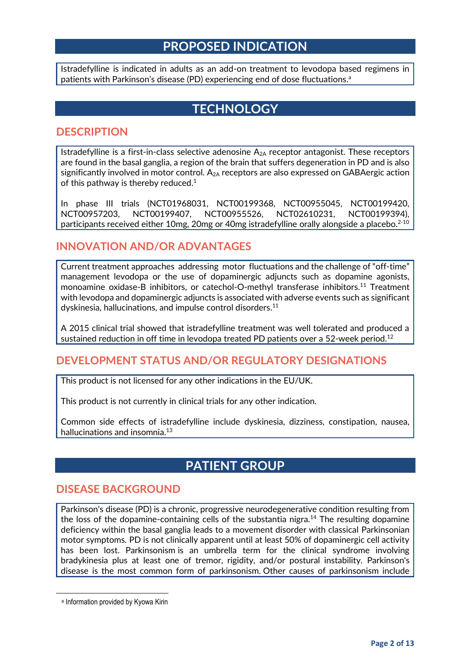#### **PROPOSED INDICATION**

Istradefylline is indicated in adults as an add-on treatment to levodopa based regimens in patients with Parkinson's disease (PD) experiencing end of dose fluctuations.<sup>a</sup>

### **TECHNOLOGY**

#### **DESCRIPTION**

Istradefylline is a first-in-class selective adenosine  $A_{2A}$  receptor antagonist. These receptors are found in the basal ganglia, a region of the brain that suffers degeneration in PD and is also significantly involved in motor control. A<sub>2A</sub> receptors are also expressed on GABAergic action of this pathway is thereby reduced.<sup>1</sup>

In phase III trials (NCT01968031, NCT00199368, NCT00955045, NCT00199420, NCT00957203, NCT00199407, NCT00955526, NCT02610231, NCT00199394), participants received either 10mg, 20mg or 40mg istradefylline orally alongside a placebo.<sup>2-10</sup>

#### **INNOVATION AND/OR ADVANTAGES**

Current treatment approaches addressing motor fluctuations and the challenge of "off-time" management levodopa or the use of dopaminergic adjuncts such as dopamine agonists, monoamine oxidase-B inhibitors, or catechol-O-methyl transferase inhibitors.<sup>11</sup> Treatment with levodopa and dopaminergic adjuncts is associated with adverse events such as significant dyskinesia, hallucinations, and impulse control disorders. 11

A 2015 clinical trial showed that istradefylline treatment was well tolerated and produced a sustained reduction in off time in levodopa treated PD patients over a 52-week period.<sup>12</sup>

#### **DEVELOPMENT STATUS AND/OR REGULATORY DESIGNATIONS**

This product is not licensed for any other indications in the EU/UK.

This product is not currently in clinical trials for any other indication.

Common side effects of istradefylline include dyskinesia, dizziness, constipation, nausea, hallucinations and insomnia.<sup>13</sup>

### **PATIENT GROUP**

#### **DISEASE BACKGROUND**

Parkinson's disease (PD) is a chronic, progressive neurodegenerative condition resulting from the loss of the dopamine-containing cells of the substantia nigra.<sup>14</sup> The resulting dopamine deficiency within the basal ganglia leads to a movement disorder with classical Parkinsonian motor symptoms. PD is not clinically apparent until at least 50% of dopaminergic cell activity has been lost. Parkinsonism is an umbrella term for the clinical syndrome involving bradykinesia plus at least one of tremor, rigidity, and/or postural instability. Parkinson's disease is the most common form of parkinsonism. Other causes of parkinsonism include

a Information provided by Kyowa Kirin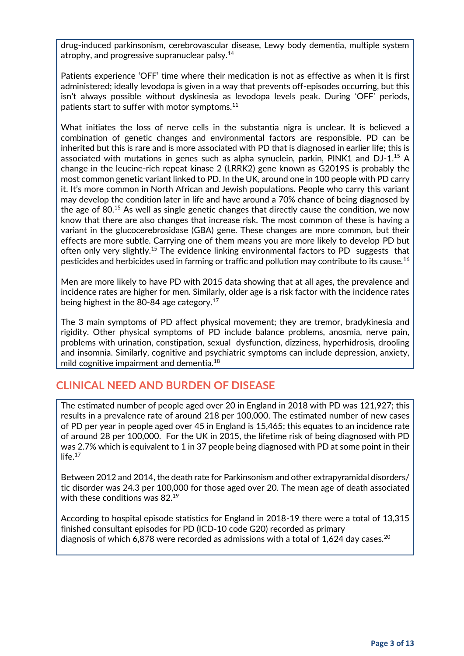drug-induced parkinsonism, cerebrovascular disease, Lewy body dementia, multiple system atrophy, and progressive supranuclear palsy.<sup>14</sup>

Patients experience 'OFF' time where their medication is not as effective as when it is first administered; ideally levodopa is given in a way that prevents off-episodes occurring, but this isn't always possible without dyskinesia as levodopa levels peak. During 'OFF' periods, patients start to suffer with motor symptoms.<sup>11</sup>

What initiates the loss of nerve cells in the substantia nigra is unclear. It is believed a combination of genetic changes and environmental factors are responsible. PD can be inherited but this is rare and is more associated with PD that is diagnosed in earlier life; this is associated with mutations in genes such as alpha synuclein, parkin, PINK1 and DJ-1.<sup>15</sup> A change in the leucine-rich repeat kinase 2 (LRRK2) gene known as G2019S is probably the most common genetic variant linked to PD. In the UK, around one in 100 people with PD carry it. It's more common in North African and Jewish populations. People who carry this variant may develop the condition later in life and have around a 70% chance of being diagnosed by the age of 80. $15$  As well as single genetic changes that directly cause the condition, we now know that there are also changes that increase risk. The most common of these is having a variant in the glucocerebrosidase (GBA) gene. These changes are more common, but their effects are more subtle. Carrying one of them means you are more likely to develop PD but often only very slightly.<sup>15</sup> The evidence linking environmental factors to PD suggests that pesticides and herbicides used in farming or traffic and pollution may contribute to its cause.<sup>16</sup>

Men are more likely to have PD with 2015 data showing that at all ages, the prevalence and incidence rates are higher for men. Similarly, older age is a risk factor with the incidence rates being highest in the 80-84 age category.<sup>17</sup>

The 3 main symptoms of PD affect physical movement; they are tremor, bradykinesia and rigidity. Other physical symptoms of PD include balance problems, anosmia, nerve pain, problems with urination, constipation, sexual dysfunction, dizziness, hyperhidrosis, drooling and insomnia. Similarly, cognitive and psychiatric symptoms can include depression, anxiety, mild cognitive impairment and dementia.<sup>18</sup>

#### **CLINICAL NEED AND BURDEN OF DISEASE**

The estimated number of people aged over 20 in England in 2018 with PD was 121,927; this results in a prevalence rate of around 218 per 100,000. The estimated number of new cases of PD per year in people aged over 45 in England is 15,465; this equates to an incidence rate of around 28 per 100,000. For the UK in 2015, the lifetime risk of being diagnosed with PD was 2.7% which is equivalent to 1 in 37 people being diagnosed with PD at some point in their  $life.$ <sup>17</sup>

Between 2012 and 2014, the death rate for Parkinsonism and other extrapyramidal disorders/ tic disorder was 24.3 per 100,000 for those aged over 20. The mean age of death associated with these conditions was 82.<sup>19</sup>

According to hospital episode statistics for England in 2018-19 there were a total of 13,315 finished consultant episodes for PD (ICD-10 code G20) recorded as primary diagnosis of which 6,878 were recorded as admissions with a total of 1,624 day cases.<sup>20</sup>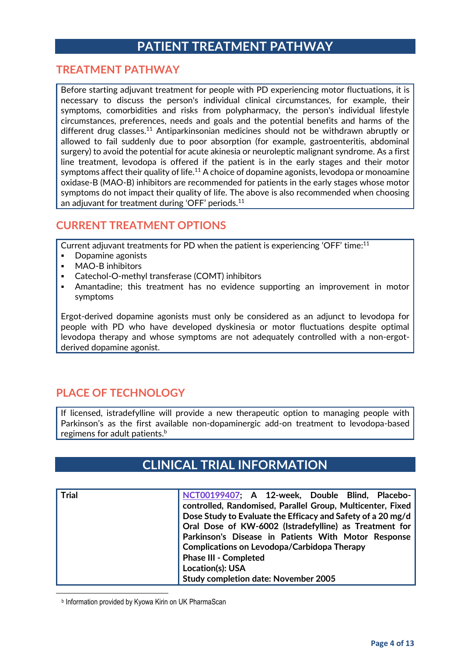### **PATIENT TREATMENT PATHWAY**

#### **TREATMENT PATHWAY**

Before starting adjuvant treatment for people with PD experiencing motor fluctuations, it is necessary to discuss the person's individual clinical circumstances, for example, their symptoms, comorbidities and risks from polypharmacy, the person's individual lifestyle circumstances, preferences, needs and goals and the potential benefits and harms of the different drug classes.<sup>11</sup> Antiparkinsonian medicines should not be withdrawn abruptly or allowed to fail suddenly due to poor absorption (for example, gastroenteritis, abdominal surgery) to avoid the potential for acute akinesia or neuroleptic malignant syndrome. As a first line treatment, levodopa is offered if the patient is in the early stages and their motor symptoms affect their quality of life.<sup>11</sup> A choice of dopamine agonists, levodopa or monoamine oxidase-B (MAO-B) inhibitors are recommended for patients in the early stages whose motor symptoms do not impact their quality of life. The above is also recommended when choosing an adjuvant for treatment during 'OFF' periods.<sup>11</sup>

#### **CURRENT TREATMENT OPTIONS**

Current adjuvant treatments for PD when the patient is experiencing 'OFF' time:<sup>11</sup>

- Dopamine agonists
- MAO-B inhibitors
- Catechol-O-methyl transferase (COMT) inhibitors
- Amantadine; this treatment has no evidence supporting an improvement in motor symptoms

Ergot-derived dopamine agonists must only be considered as an adjunct to levodopa for people with PD who have developed dyskinesia or motor fluctuations despite optimal levodopa therapy and whose symptoms are not adequately controlled with a non-ergotderived dopamine agonist.

#### **PLACE OF TECHNOLOGY**

If licensed, istradefylline will provide a new therapeutic option to managing people with Parkinson's as the first available non-dopaminergic add-on treatment to levodopa-based regimens for adult patients. b

### **CLINICAL TRIAL INFORMATION**

| <b>Trial</b> | NCT00199407; A 12-week, Double Blind, Placebo-<br>controlled, Randomised, Parallel Group, Multicenter, Fixed<br>Dose Study to Evaluate the Efficacy and Safety of a 20 mg/d<br>Oral Dose of KW-6002 (Istradefylline) as Treatment for<br>Parkinson's Disease in Patients With Motor Response<br><b>Complications on Levodopa/Carbidopa Therapy</b><br><b>Phase III - Completed</b> |
|--------------|------------------------------------------------------------------------------------------------------------------------------------------------------------------------------------------------------------------------------------------------------------------------------------------------------------------------------------------------------------------------------------|
|              | Location(s): USA<br><b>Study completion date: November 2005</b>                                                                                                                                                                                                                                                                                                                    |

b Information provided by Kyowa Kirin on UK PharmaScan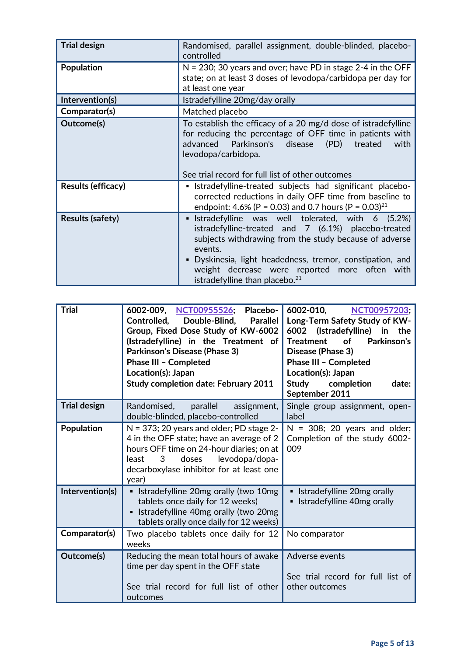| <b>Trial design</b>       | Randomised, parallel assignment, double-blinded, placebo-<br>controlled                                                                                                                                                                                                                                                                          |  |
|---------------------------|--------------------------------------------------------------------------------------------------------------------------------------------------------------------------------------------------------------------------------------------------------------------------------------------------------------------------------------------------|--|
| <b>Population</b>         | $N = 230$ ; 30 years and over; have PD in stage 2-4 in the OFF<br>state; on at least 3 doses of levodopa/carbidopa per day for<br>at least one year                                                                                                                                                                                              |  |
| Intervention(s)           | Istradefylline 20mg/day orally                                                                                                                                                                                                                                                                                                                   |  |
| Comparator(s)             | Matched placebo                                                                                                                                                                                                                                                                                                                                  |  |
| Outcome(s)                | To establish the efficacy of a 20 mg/d dose of istradefylline<br>for reducing the percentage of OFF time in patients with<br>advanced Parkinson's<br>disease<br>(PD)<br>with<br>treated<br>levodopa/carbidopa.<br>See trial record for full list of other outcomes                                                                               |  |
| <b>Results (efficacy)</b> | • Istradefylline-treated subjects had significant placebo-<br>corrected reductions in daily OFF time from baseline to<br>endpoint: 4.6% (P = 0.03) and 0.7 hours (P = 0.03) <sup>21</sup>                                                                                                                                                        |  |
| <b>Results (safety)</b>   | Istradefylline was well tolerated, with 6 (5.2%)<br>٠<br>istradefylline-treated and 7 (6.1%) placebo-treated<br>subjects withdrawing from the study because of adverse<br>events.<br>Dyskinesia, light headedness, tremor, constipation, and<br>٠<br>weight decrease were reported more often with<br>istradefylline than placebo. <sup>21</sup> |  |

| <b>Trial</b>        | 6002-009, NCT00955526;<br>Placebo-<br>Double-Blind,<br>Controlled,<br><b>Parallel</b><br>Group, Fixed Dose Study of KW-6002<br>(Istradefylline) in the Treatment of<br><b>Parkinson's Disease (Phase 3)</b><br>Phase III - Completed<br>Location(s): Japan<br><b>Study completion date: February 2011</b> | 6002-010,<br>NCT00957203;<br>Long-Term Safety Study of KW-<br>6002 (Istradefylline) in<br>the<br><b>Treatment</b><br><b>of</b><br>Parkinson's<br>Disease (Phase 3)<br><b>Phase III - Completed</b><br>Location(s): Japan<br>Study<br>completion<br>date:<br>September 2011 |
|---------------------|-----------------------------------------------------------------------------------------------------------------------------------------------------------------------------------------------------------------------------------------------------------------------------------------------------------|----------------------------------------------------------------------------------------------------------------------------------------------------------------------------------------------------------------------------------------------------------------------------|
| <b>Trial design</b> | Randomised, parallel<br>assignment,<br>double-blinded, placebo-controlled                                                                                                                                                                                                                                 | Single group assignment, open-<br>label                                                                                                                                                                                                                                    |
| <b>Population</b>   | $N = 373$ ; 20 years and older; PD stage 2-<br>4 in the OFF state; have an average of 2<br>hours OFF time on 24-hour diaries; on at<br>doses<br>levodopa/dopa-<br>least<br>3<br>decarboxylase inhibitor for at least one<br>year)                                                                         | $N = 308$ ; 20 years and older;<br>Completion of the study 6002-<br>009                                                                                                                                                                                                    |
| Intervention(s)     | • Istradefylline 20mg orally (two 10mg<br>tablets once daily for 12 weeks)<br>• Istradefylline 40mg orally (two 20mg<br>tablets orally once daily for 12 weeks)                                                                                                                                           | • Istradefylline 20mg orally<br>• Istradefylline 40mg orally                                                                                                                                                                                                               |
| Comparator(s)       | Two placebo tablets once daily for 12<br>weeks                                                                                                                                                                                                                                                            | No comparator                                                                                                                                                                                                                                                              |
| Outcome(s)          | Reducing the mean total hours of awake<br>time per day spent in the OFF state<br>See trial record for full list of other<br>outcomes                                                                                                                                                                      | Adverse events<br>See trial record for full list of<br>other outcomes                                                                                                                                                                                                      |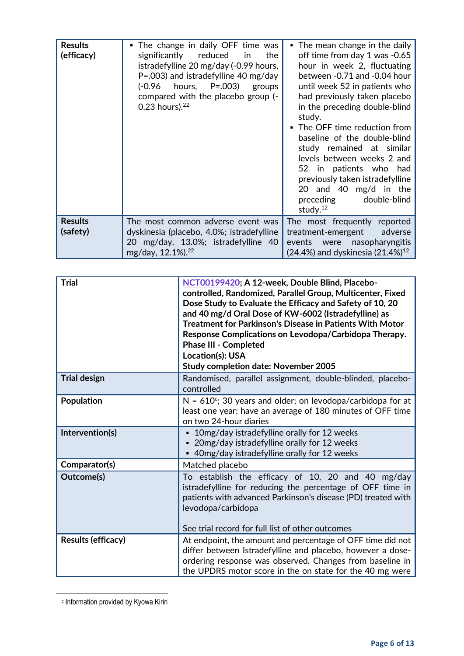| <b>Results</b><br>(efficacy) | . The change in daily OFF time was<br>significantly reduced in<br>the<br>istradefylline 20 mg/day (-0.99 hours,<br>$P = .003$ ) and istradefylline 40 mg/day<br>hours, P=.003)<br>$(-0.96)$<br>groups<br>compared with the placebo group (-<br>0.23 hours). $22$ | The mean change in the daily<br>off time from day 1 was -0.65<br>hour in week 2, fluctuating<br>between -0.71 and -0.04 hour<br>until week 52 in patients who<br>had previously taken placebo<br>in the preceding double-blind<br>study.<br>• The OFF time reduction from<br>baseline of the double-blind<br>study remained at similar<br>levels between weeks 2 and<br>52 in patients who had<br>previously taken istradefylline<br>20 and 40 mg/d in the<br>preceding<br>double-blind<br>study. $12$ |
|------------------------------|------------------------------------------------------------------------------------------------------------------------------------------------------------------------------------------------------------------------------------------------------------------|--------------------------------------------------------------------------------------------------------------------------------------------------------------------------------------------------------------------------------------------------------------------------------------------------------------------------------------------------------------------------------------------------------------------------------------------------------------------------------------------------------|
| <b>Results</b><br>(safety)   | The most common adverse event was<br>dyskinesia (placebo, 4.0%; istradefylline<br>20 mg/day, 13.0%; istradefylline 40<br>mg/day, 12.1%). <sup>22</sup>                                                                                                           | The most frequently reported<br>treatment-emergent<br>adverse<br>nasopharyngitis<br>events were<br>$(24.4%)$ and dyskinesia $(21.4%)^{12}$                                                                                                                                                                                                                                                                                                                                                             |

| <b>Trial</b>        | NCT00199420; A 12-week, Double Blind, Placebo-<br>controlled, Randomized, Parallel Group, Multicenter, Fixed<br>Dose Study to Evaluate the Efficacy and Safety of 10, 20<br>and 40 mg/d Oral Dose of KW-6002 (Istradefylline) as<br><b>Treatment for Parkinson's Disease in Patients With Motor</b><br>Response Complications on Levodopa/Carbidopa Therapy.<br><b>Phase III - Completed</b><br>Location(s): USA<br><b>Study completion date: November 2005</b> |
|---------------------|-----------------------------------------------------------------------------------------------------------------------------------------------------------------------------------------------------------------------------------------------------------------------------------------------------------------------------------------------------------------------------------------------------------------------------------------------------------------|
| <b>Trial design</b> | Randomised, parallel assignment, double-blinded, placebo-<br>controlled                                                                                                                                                                                                                                                                                                                                                                                         |
| <b>Population</b>   | $N = 610^{\circ}$ ; 30 years and older; on levodopa/carbidopa for at<br>least one year; have an average of 180 minutes of OFF time<br>on two 24-hour diaries                                                                                                                                                                                                                                                                                                    |
| Intervention(s)     | 10mg/day istradefylline orally for 12 weeks<br>• 20mg/day istradefylline orally for 12 weeks<br>• 40mg/day istradefylline orally for 12 weeks                                                                                                                                                                                                                                                                                                                   |
| Comparator(s)       | Matched placebo                                                                                                                                                                                                                                                                                                                                                                                                                                                 |
| Outcome(s)          | To establish the efficacy of 10, 20 and 40 mg/day<br>istradefylline for reducing the percentage of OFF time in<br>patients with advanced Parkinson's disease (PD) treated with<br>levodopa/carbidopa<br>See trial record for full list of other outcomes                                                                                                                                                                                                        |
| Results (efficacy)  | At endpoint, the amount and percentage of OFF time did not<br>differ between Istradefylline and placebo, however a dose-<br>ordering response was observed. Changes from baseline in<br>the UPDRS motor score in the on state for the 40 mg were                                                                                                                                                                                                                |

c Information provided by Kyowa Kirin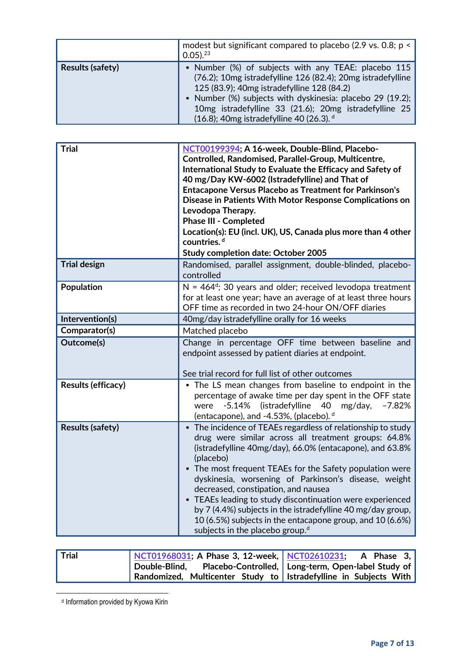|                         | modest but significant compared to placebo (2.9 vs. 0.8; p <<br>$0.05$ ). $23$                                                                                                                                                                                                                                                     |
|-------------------------|------------------------------------------------------------------------------------------------------------------------------------------------------------------------------------------------------------------------------------------------------------------------------------------------------------------------------------|
| <b>Results (safety)</b> | • Number (%) of subjects with any TEAE: placebo 115<br>(76.2); 10mg istradefylline 126 (82.4); 20mg istradefylline<br>125 (83.9); 40mg istradefylline 128 (84.2)<br>• Number (%) subjects with dyskinesia: placebo 29 (19.2);<br>10mg istradefylline 33 (21.6); 20mg istradefylline 25<br>(16.8); 40mg istradefylline 40 (26.3). d |

<span id="page-6-0"></span>

| <b>Trial</b>              | NCT00199394; A 16-week, Double-Blind, Placebo-<br>Controlled, Randomised, Parallel-Group, Multicentre,<br>International Study to Evaluate the Efficacy and Safety of<br>40 mg/Day KW-6002 (Istradefylline) and That of<br><b>Entacapone Versus Placebo as Treatment for Parkinson's</b><br>Disease in Patients With Motor Response Complications on<br>Levodopa Therapy.<br><b>Phase III - Completed</b><br>Location(s): EU (incl. UK), US, Canada plus more than 4 other<br>countries. <sup>d</sup><br><b>Study completion date: October 2005</b>                                               |  |
|---------------------------|--------------------------------------------------------------------------------------------------------------------------------------------------------------------------------------------------------------------------------------------------------------------------------------------------------------------------------------------------------------------------------------------------------------------------------------------------------------------------------------------------------------------------------------------------------------------------------------------------|--|
| <b>Trial design</b>       | Randomised, parallel assignment, double-blinded, placebo-<br>controlled                                                                                                                                                                                                                                                                                                                                                                                                                                                                                                                          |  |
| Population                | $N = 464^d$ ; 30 years and older; received levodopa treatment<br>for at least one year; have an average of at least three hours<br>OFF time as recorded in two 24-hour ON/OFF diaries                                                                                                                                                                                                                                                                                                                                                                                                            |  |
| Intervention(s)           | 40mg/day istradefylline orally for 16 weeks                                                                                                                                                                                                                                                                                                                                                                                                                                                                                                                                                      |  |
| Comparator(s)             | Matched placebo                                                                                                                                                                                                                                                                                                                                                                                                                                                                                                                                                                                  |  |
| Outcome(s)                | Change in percentage OFF time between baseline and<br>endpoint assessed by patient diaries at endpoint.<br>See trial record for full list of other outcomes                                                                                                                                                                                                                                                                                                                                                                                                                                      |  |
| <b>Results (efficacy)</b> | • The LS mean changes from baseline to endpoint in the<br>percentage of awake time per day spent in the OFF state<br>$-5.14%$<br>(istradefylline<br>$-7.82%$<br>40<br>mg/day,<br>were<br>(entacapone), and -4.53%, (placebo). <sup>d</sup>                                                                                                                                                                                                                                                                                                                                                       |  |
| <b>Results (safety)</b>   | • The incidence of TEAEs regardless of relationship to study<br>drug were similar across all treatment groups: 64.8%<br>(istradefylline 40mg/day), 66.0% (entacapone), and 63.8%<br>(placebo)<br>• The most frequent TEAEs for the Safety population were<br>dyskinesia, worsening of Parkinson's disease, weight<br>decreased, constipation, and nausea<br>• TEAEs leading to study discontinuation were experienced<br>by 7 (4.4%) subjects in the istradefylline 40 mg/day group,<br>10 (6.5%) subjects in the entacapone group, and 10 (6.6%)<br>subjects in the placebo group. <sup>d</sup> |  |

| <b>Trial</b> | NCT01968031; A Phase 3, 12-week, NCT02610231; A Phase 3,           |  |
|--------------|--------------------------------------------------------------------|--|
|              | Double-Blind, Placebo-Controlled,   Long-term, Open-label Study of |  |
|              | Randomized, Multicenter Study to   Istradefylline in Subjects With |  |

<sup>d</sup> Information provided by Kyowa Kirin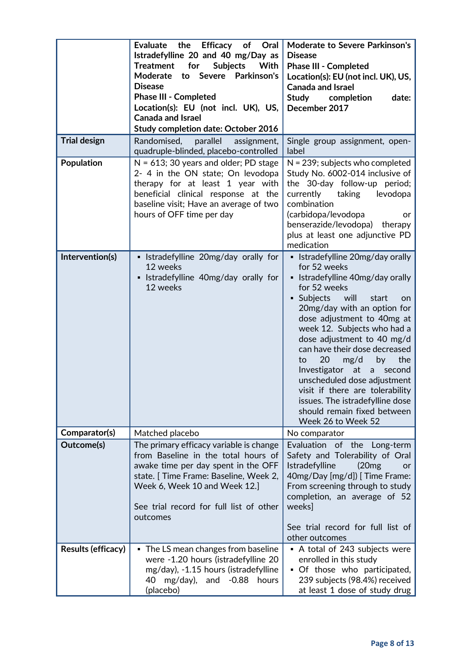|                     | Evaluate the Efficacy of<br>Oral<br>Istradefylline 20 and 40 mg/Day as<br>for<br><b>Subjects</b><br>With<br><b>Treatment</b><br>Parkinson's<br>Moderate to Severe<br><b>Disease</b><br><b>Phase III - Completed</b><br>Location(s): EU (not incl. UK), US,<br><b>Canada and Israel</b><br><b>Study completion date: October 2016</b> | <b>Moderate to Severe Parkinson's</b><br><b>Disease</b><br><b>Phase III - Completed</b><br>Location(s): EU (not incl. UK), US,<br><b>Canada and Israel</b><br>Study completion<br>date:<br>December 2017                                                                                                                                                                                                                                                                                                                        |
|---------------------|--------------------------------------------------------------------------------------------------------------------------------------------------------------------------------------------------------------------------------------------------------------------------------------------------------------------------------------|---------------------------------------------------------------------------------------------------------------------------------------------------------------------------------------------------------------------------------------------------------------------------------------------------------------------------------------------------------------------------------------------------------------------------------------------------------------------------------------------------------------------------------|
| <b>Trial design</b> | parallel<br>Randomised,<br>assignment,<br>quadruple-blinded, placebo-controlled                                                                                                                                                                                                                                                      | Single group assignment, open-<br>label                                                                                                                                                                                                                                                                                                                                                                                                                                                                                         |
| <b>Population</b>   | $N = 613$ ; 30 years and older; PD stage<br>2- 4 in the ON state; On levodopa<br>therapy for at least 1 year with<br>beneficial clinical response at the<br>baseline visit; Have an average of two<br>hours of OFF time per day                                                                                                      | $N = 239$ ; subjects who completed<br>Study No. 6002-014 inclusive of<br>the 30-day follow-up period;<br>taking<br>levodopa<br>currently<br>combination<br>(carbidopa/levodopa<br>or<br>benserazide/levodopa)<br>therapy<br>plus at least one adjunctive PD<br>medication                                                                                                                                                                                                                                                       |
| Intervention(s)     | • Istradefylline 20mg/day orally for<br>12 weeks<br>• Istradefylline 40mg/day orally for<br>12 weeks                                                                                                                                                                                                                                 | • Istradefylline 20mg/day orally<br>for 52 weeks<br>• Istradefylline 40mg/day orally<br>for 52 weeks<br>· Subjects will<br>start<br>on.<br>20mg/day with an option for<br>dose adjustment to 40mg at<br>week 12. Subjects who had a<br>dose adjustment to 40 mg/d<br>can have their dose decreased<br>20<br>the<br>mg/d<br>by<br>to<br>Investigator<br>at<br>a second<br>unscheduled dose adjustment<br>visit if there are tolerability<br>issues. The istradefylline dose<br>should remain fixed between<br>Week 26 to Week 52 |
| Comparator(s)       | Matched placebo                                                                                                                                                                                                                                                                                                                      | No comparator                                                                                                                                                                                                                                                                                                                                                                                                                                                                                                                   |
| Outcome(s)          | The primary efficacy variable is change<br>from Baseline in the total hours of<br>awake time per day spent in the OFF<br>state. [Time Frame: Baseline, Week 2,<br>Week 6, Week 10 and Week 12.]<br>See trial record for full list of other<br>outcomes                                                                               | Evaluation of the<br>Long-term<br>Safety and Tolerability of Oral<br>Istradefylline<br>(20mg)<br><b>or</b><br>40mg/Day [mg/d]) [Time Frame:<br>From screening through to study<br>completion, an average of 52<br>weeks]<br>See trial record for full list of                                                                                                                                                                                                                                                                   |
| Results (efficacy)  | • The LS mean changes from baseline<br>were -1.20 hours (istradefylline 20<br>mg/day), -1.15 hours (istradefylline<br>mg/day), and $-0.88$<br>hours<br>40                                                                                                                                                                            | other outcomes<br>• A total of 243 subjects were<br>enrolled in this study<br>• Of those who participated,<br>239 subjects (98.4%) received<br>at least 1 dose of study drug                                                                                                                                                                                                                                                                                                                                                    |
|                     | (placebo)                                                                                                                                                                                                                                                                                                                            |                                                                                                                                                                                                                                                                                                                                                                                                                                                                                                                                 |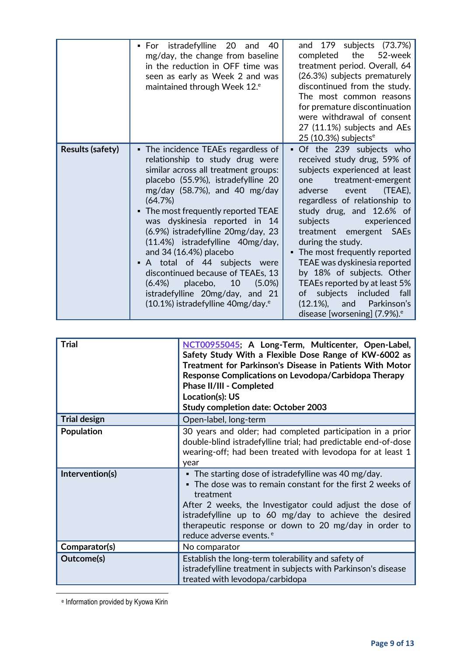<span id="page-8-0"></span>

|                         | ▪ For istradefylline 20<br>40<br>and<br>mg/day, the change from baseline<br>in the reduction in OFF time was<br>seen as early as Week 2 and was<br>maintained through Week 12. <sup>e</sup>                                                                                                                                                                                                                                                                                                                                                                                            | and 179 subjects (73.7%)<br>the<br>52-week<br>completed<br>treatment period. Overall, 64<br>(26.3%) subjects prematurely<br>discontinued from the study.<br>The most common reasons<br>for premature discontinuation<br>were withdrawal of consent<br>27 (11.1%) subjects and AEs                                                                                                                                                                                                                                                                                                            |
|-------------------------|----------------------------------------------------------------------------------------------------------------------------------------------------------------------------------------------------------------------------------------------------------------------------------------------------------------------------------------------------------------------------------------------------------------------------------------------------------------------------------------------------------------------------------------------------------------------------------------|----------------------------------------------------------------------------------------------------------------------------------------------------------------------------------------------------------------------------------------------------------------------------------------------------------------------------------------------------------------------------------------------------------------------------------------------------------------------------------------------------------------------------------------------------------------------------------------------|
| <b>Results (safety)</b> | • The incidence TEAEs regardless of<br>relationship to study drug were<br>similar across all treatment groups:<br>placebo (55.9%), istradefylline 20<br>mg/day $(58.7%)$ , and 40 mg/day<br>(64.7%)<br>The most frequently reported TEAE<br>was dyskinesia reported in 14<br>(6.9%) istradefylline 20mg/day, 23<br>(11.4%) istradefylline 40mg/day,<br>and 34 (16.4%) placebo<br>• A total of 44 subjects were<br>discontinued because of TEAEs, 13<br>10<br>$(6.4\%)$<br>placebo,<br>$(5.0\%)$<br>istradefylline 20mg/day, and 21<br>$(10.1\%)$ istradefylline 40mg/day. <sup>e</sup> | 25 (10.3%) subjects $e$<br>Of the 239 subjects who<br>$\blacksquare$<br>received study drug, 59% of<br>subjects experienced at least<br>treatment-emergent<br>one<br>event<br>(TEAE),<br>adverse<br>regardless of relationship to<br>study drug, and 12.6% of<br>subjects<br>experienced<br>treatment emergent SAEs<br>during the study.<br>• The most frequently reported<br>TEAE was dyskinesia reported<br>by 18% of subjects. Other<br>TEAEs reported by at least 5%<br>subjects included<br>fall<br>of<br>$(12.1\%),$<br>Parkinson's<br>and<br>disease [worsening] (7.9%). <sup>e</sup> |

| <b>Trial</b>        | NCT00955045; A Long-Term, Multicenter, Open-Label,<br>Safety Study With a Flexible Dose Range of KW-6002 as<br>Treatment for Parkinson's Disease in Patients With Motor<br>Response Complications on Levodopa/Carbidopa Therapy<br>Phase II/III - Completed<br>Location(s): US<br><b>Study completion date: October 2003</b>                                 |
|---------------------|--------------------------------------------------------------------------------------------------------------------------------------------------------------------------------------------------------------------------------------------------------------------------------------------------------------------------------------------------------------|
| <b>Trial design</b> | Open-label, long-term                                                                                                                                                                                                                                                                                                                                        |
| Population          | 30 years and older; had completed participation in a prior<br>double-blind istradefylline trial; had predictable end-of-dose<br>wearing-off; had been treated with levodopa for at least 1<br>year                                                                                                                                                           |
| Intervention(s)     | $\bullet$ The starting dose of istradefylline was 40 mg/day.<br>• The dose was to remain constant for the first 2 weeks of<br>treatment<br>After 2 weeks, the Investigator could adjust the dose of<br>istradefylline up to 60 mg/day to achieve the desired<br>therapeutic response or down to 20 mg/day in order to<br>reduce adverse events. <sup>e</sup> |
| Comparator(s)       | No comparator                                                                                                                                                                                                                                                                                                                                                |
| Outcome(s)          | Establish the long-term tolerability and safety of<br>istradefylline treatment in subjects with Parkinson's disease<br>treated with levodopa/carbidopa                                                                                                                                                                                                       |

e Information provided by Kyowa Kirin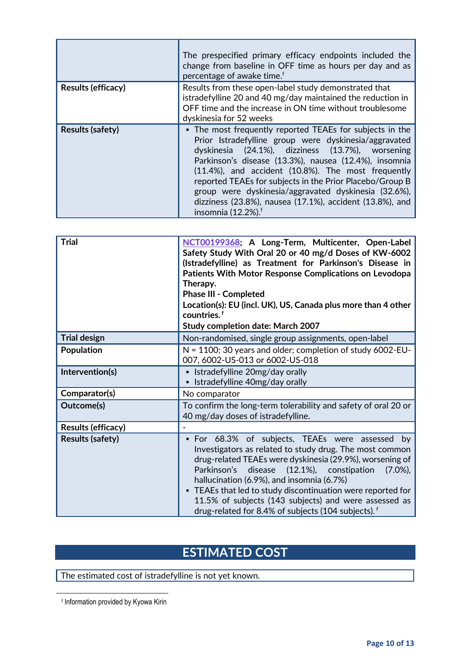|                         | The prespecified primary efficacy endpoints included the<br>change from baseline in OFF time as hours per day and as<br>percentage of awake time. <sup>f</sup>                                                                                                                                                                                                                                                                                                                                         |
|-------------------------|--------------------------------------------------------------------------------------------------------------------------------------------------------------------------------------------------------------------------------------------------------------------------------------------------------------------------------------------------------------------------------------------------------------------------------------------------------------------------------------------------------|
| Results (efficacy)      | Results from these open-label study demonstrated that<br>istradefylline 20 and 40 mg/day maintained the reduction in<br>OFF time and the increase in ON time without troublesome<br>dyskinesia for 52 weeks                                                                                                                                                                                                                                                                                            |
| <b>Results (safety)</b> | • The most frequently reported TEAEs for subjects in the<br>Prior Istradefylline group were dyskinesia/aggravated<br>dyskinesia (24.1%), dizziness (13.7%), worsening<br>Parkinson's disease (13.3%), nausea (12.4%), insomnia<br>(11.4%), and accident (10.8%). The most frequently<br>reported TEAEs for subjects in the Prior Placebo/Group B<br>group were dyskinesia/aggravated dyskinesia (32.6%),<br>dizziness (23.8%), nausea (17.1%), accident (13.8%), and<br>insomnia (12.2%). <sup>f</sup> |

<span id="page-9-0"></span>

| <b>Trial</b>              | NCT00199368; A Long-Term, Multicenter, Open-Label<br>Safety Study With Oral 20 or 40 mg/d Doses of KW-6002<br>(Istradefylline) as Treatment for Parkinson's Disease in<br>Patients With Motor Response Complications on Levodopa<br>Therapy.<br><b>Phase III - Completed</b><br>Location(s): EU (incl. UK), US, Canada plus more than 4 other<br>countries. <sup>f</sup><br><b>Study completion date: March 2007</b>                                                                 |
|---------------------------|--------------------------------------------------------------------------------------------------------------------------------------------------------------------------------------------------------------------------------------------------------------------------------------------------------------------------------------------------------------------------------------------------------------------------------------------------------------------------------------|
| <b>Trial design</b>       | Non-randomised, single group assignments, open-label                                                                                                                                                                                                                                                                                                                                                                                                                                 |
| Population                | $N = 1100$ ; 30 years and older; completion of study 6002-EU-<br>007, 6002-US-013 or 6002-US-018                                                                                                                                                                                                                                                                                                                                                                                     |
| Intervention(s)           | • Istradefylline 20mg/day orally<br>Istradefylline 40mg/day orally                                                                                                                                                                                                                                                                                                                                                                                                                   |
| Comparator(s)             | No comparator                                                                                                                                                                                                                                                                                                                                                                                                                                                                        |
| Outcome(s)                | To confirm the long-term tolerability and safety of oral 20 or<br>40 mg/day doses of istradefylline.                                                                                                                                                                                                                                                                                                                                                                                 |
| <b>Results (efficacy)</b> |                                                                                                                                                                                                                                                                                                                                                                                                                                                                                      |
| <b>Results (safety)</b>   | • For 68.3% of subjects, TEAEs were assessed by<br>Investigators as related to study drug. The most common<br>drug-related TEAEs were dyskinesia (29.9%), worsening of<br>Parkinson's<br>disease<br>$(12.1\%),$<br>constipation<br>$(7.0\%),$<br>hallucination (6.9%), and insomnia (6.7%)<br>• TEAEs that led to study discontinuation were reported for<br>11.5% of subjects (143 subjects) and were assessed as<br>drug-related for 8.4% of subjects (104 subjects). <sup>f</sup> |

# **ESTIMATED COST**

The estimated cost of istradefylline is not yet known.

f Information provided by Kyowa Kirin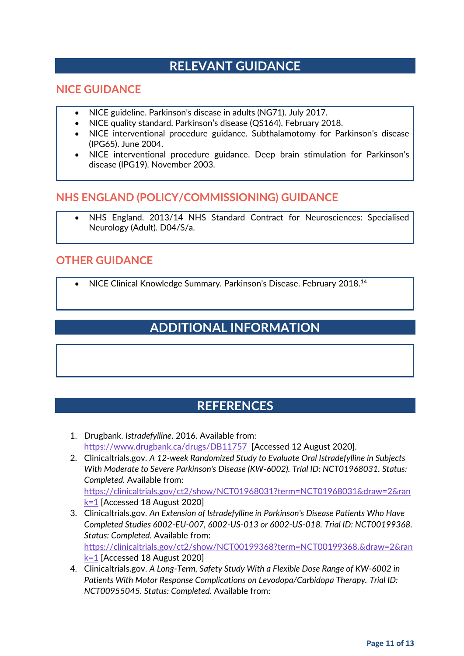### **RELEVANT GUIDANCE**

#### **NICE GUIDANCE**

- NICE guideline. Parkinson's disease in adults (NG71). July 2017.
- NICE quality standard. Parkinson's disease (QS164). February 2018.
- NICE interventional procedure guidance. Subthalamotomy for Parkinson's disease (IPG65). June 2004.
- NICE interventional procedure guidance. Deep brain stimulation for Parkinson's disease (IPG19). November 2003.

#### **NHS ENGLAND (POLICY/COMMISSIONING) GUIDANCE**

• NHS England. 2013/14 NHS Standard Contract for Neurosciences: Specialised Neurology (Adult). D04/S/a.

#### **OTHER GUIDANCE**

• NICE Clinical Knowledge Summary. Parkinson's Disease. February 2018.<sup>14</sup>

## **ADDITIONAL INFORMATION**

### **REFERENCES**

- 1. Drugbank. *Istradefylline*. 2016. Available from: <https://www.drugbank.ca/drugs/DB11757>[Accessed 12 August 2020].
- 2. Clinicaltrials.gov. *A 12-week Randomized Study to Evaluate Oral Istradefylline in Subjects With Moderate to Severe Parkinson's Disease (KW-6002). Trial ID: NCT01968031. Status: Completed.* Available from: [https://clinicaltrials.gov/ct2/show/NCT01968031?term=NCT01968031&draw=2&ran](https://clinicaltrials.gov/ct2/show/NCT01968031?term=NCT01968031&draw=2&rank=1) [k=1](https://clinicaltrials.gov/ct2/show/NCT01968031?term=NCT01968031&draw=2&rank=1) [Accessed 18 August 2020]
- 3. Clinicaltrials.gov. *An Extension of Istradefylline in Parkinson's Disease Patients Who Have Completed Studies 6002-EU-007, 6002-US-013 or 6002-US-018. Trial ID: NCT00199368. Status: Completed.* Available from: [https://clinicaltrials.gov/ct2/show/NCT00199368?term=NCT00199368.&draw=2&ran](https://clinicaltrials.gov/ct2/show/NCT00199368?term=NCT00199368.&draw=2&rank=1) [k=1](https://clinicaltrials.gov/ct2/show/NCT00199368?term=NCT00199368.&draw=2&rank=1) [Accessed 18 August 2020]
- 4. Clinicaltrials.gov. *A Long-Term, Safety Study With a Flexible Dose Range of KW-6002 in Patients With Motor Response Complications on Levodopa/Carbidopa Therapy. Trial ID: NCT00955045. Status: Completed.* Available from: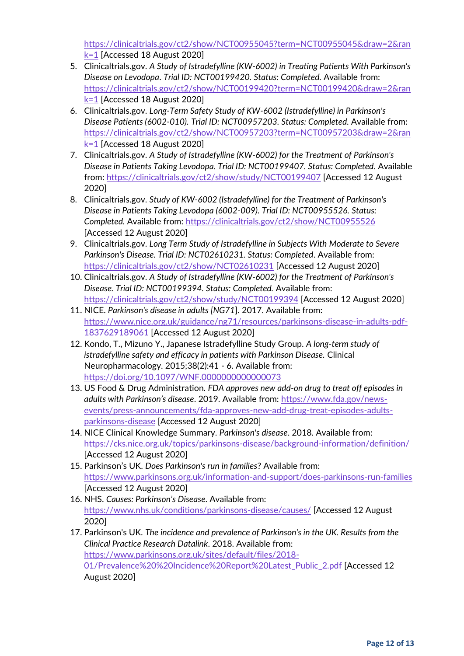[https://clinicaltrials.gov/ct2/show/NCT00955045?term=NCT00955045&draw=2&ran](https://clinicaltrials.gov/ct2/show/NCT00955045?term=NCT00955045&draw=2&rank=1)  $k=1$  [Accessed 18 August 2020]

- 5. Clinicaltrials.gov. *A Study of Istradefylline (KW-6002) in Treating Patients With Parkinson's Disease on Levodopa*. *Trial ID: NCT00199420. Status: Completed.* Available from: [https://clinicaltrials.gov/ct2/show/NCT00199420?term=NCT00199420&draw=2&ran](https://clinicaltrials.gov/ct2/show/NCT00199420?term=NCT00199420&draw=2&rank=1) [k=1](https://clinicaltrials.gov/ct2/show/NCT00199420?term=NCT00199420&draw=2&rank=1) [Accessed 18 August 2020]
- 6. Clinicaltrials.gov. *Long-Term Safety Study of KW-6002 (Istradefylline) in Parkinson's Disease Patients (6002-010). Trial ID: NCT00957203. Status: Completed.* Available from: [https://clinicaltrials.gov/ct2/show/NCT00957203?term=NCT00957203&draw=2&ran](https://clinicaltrials.gov/ct2/show/NCT00957203?term=NCT00957203&draw=2&rank=1) [k=1](https://clinicaltrials.gov/ct2/show/NCT00957203?term=NCT00957203&draw=2&rank=1) [Accessed 18 August 2020]
- 7. Clinicaltrials.gov. *A Study of Istradefylline (KW-6002) for the Treatment of Parkinson's Disease in Patients Taking Levodopa. Trial ID: NCT00199407. Status: Completed.* Available from[: https://clinicaltrials.gov/ct2/show/study/NCT00199407](https://clinicaltrials.gov/ct2/show/study/NCT00199407) [Accessed 12 August 2020]
- 8. Clinicaltrials.gov. *Study of KW-6002 (Istradefylline) for the Treatment of Parkinson's Disease in Patients Taking Levodopa (6002-009). Trial ID: NCT00955526. Status: Completed.* Available from:<https://clinicaltrials.gov/ct2/show/NCT00955526> [Accessed 12 August 2020]
- 9. Clinicaltrials.gov. *Long Term Study of Istradefylline in Subjects With Moderate to Severe Parkinson's Disease. Trial ID: NCT02610231. Status: Completed*. Available from: <https://clinicaltrials.gov/ct2/show/NCT02610231> [Accessed 12 August 2020]
- 10. Clinicaltrials.gov. *A Study of Istradefylline (KW-6002) for the Treatment of Parkinson's Disease. Trial ID: NCT00199394. Status: Completed.* Available from: <https://clinicaltrials.gov/ct2/show/study/NCT00199394> [Accessed 12 August 2020]
- 11. NICE. *Parkinson's disease in adults [NG71*]. 2017. Available from: [https://www.nice.org.uk/guidance/ng71/resources/parkinsons-disease-in-adults-pdf-](https://www.nice.org.uk/guidance/ng71/resources/parkinsons-disease-in-adults-pdf-1837629189061)[1837629189061](https://www.nice.org.uk/guidance/ng71/resources/parkinsons-disease-in-adults-pdf-1837629189061) [Accessed 12 August 2020]
- 12. Kondo, T., Mizuno Y., Japanese Istradefylline Study Group. *A long-term study of istradefylline safety and efficacy in patients with Parkinson Disease.* Clinical Neuropharmacology. 2015;38(2):41 - 6. Available from: <https://doi.org/10.1097/WNF.0000000000000073>
- 13. US Food & Drug Administration. *FDA approves new add-on drug to treat off episodes in adults with Parkinson's disease*. 2019. Available from[: https://www.fda.gov/news](https://www.fda.gov/news-events/press-announcements/fda-approves-new-add-drug-treat-episodes-adults-parkinsons-disease)[events/press-announcements/fda-approves-new-add-drug-treat-episodes-adults](https://www.fda.gov/news-events/press-announcements/fda-approves-new-add-drug-treat-episodes-adults-parkinsons-disease)[parkinsons-disease](https://www.fda.gov/news-events/press-announcements/fda-approves-new-add-drug-treat-episodes-adults-parkinsons-disease) [Accessed 12 August 2020]
- 14. NICE Clinical Knowledge Summary. *Parkinson's disease*. 2018. Available from: <https://cks.nice.org.uk/topics/parkinsons-disease/background-information/definition/> [Accessed 12 August 2020]
- 15. Parkinson's UK. *Does Parkinson's run in families*? Available from: <https://www.parkinsons.org.uk/information-and-support/does-parkinsons-run-families> [Accessed 12 August 2020]
- 16. NHS. *Causes: Parkinson's Disease*. Available from: <https://www.nhs.uk/conditions/parkinsons-disease/causes/> [Accessed 12 August 2020]
- 17. Parkinson's UK. *The incidence and prevalence of Parkinson's in the UK. Results from the Clinical Practice Research Datalink*. 2018. Available from: [https://www.parkinsons.org.uk/sites/default/files/2018-](https://www.parkinsons.org.uk/sites/default/files/2018-01/Prevalence%20%20Incidence%20Report%20Latest_Public_2.pdf) [01/Prevalence%20%20Incidence%20Report%20Latest\\_Public\\_2.pdf](https://www.parkinsons.org.uk/sites/default/files/2018-01/Prevalence%20%20Incidence%20Report%20Latest_Public_2.pdf) [Accessed 12 August 2020]